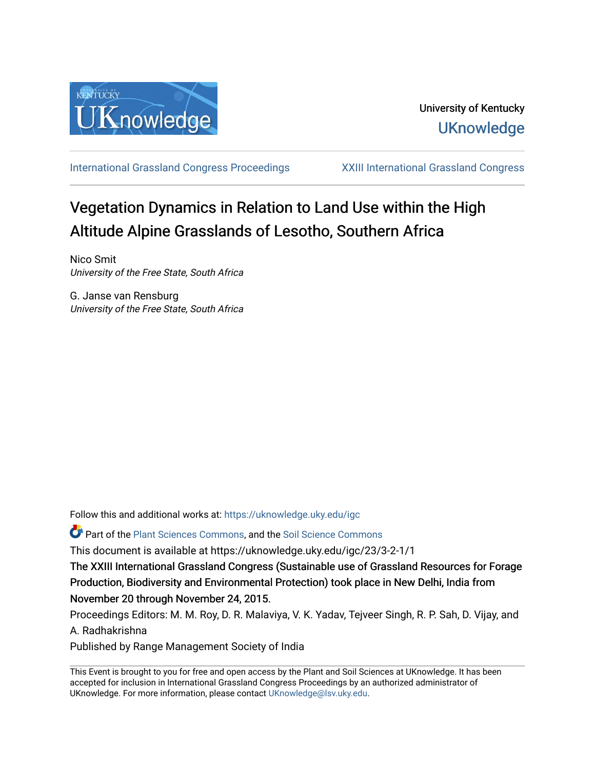

[International Grassland Congress Proceedings](https://uknowledge.uky.edu/igc) [XXIII International Grassland Congress](https://uknowledge.uky.edu/igc/23) 

# Vegetation Dynamics in Relation to Land Use within the High Altitude Alpine Grasslands of Lesotho, Southern Africa

Nico Smit University of the Free State, South Africa

G. Janse van Rensburg University of the Free State, South Africa

Follow this and additional works at: [https://uknowledge.uky.edu/igc](https://uknowledge.uky.edu/igc?utm_source=uknowledge.uky.edu%2Figc%2F23%2F3-2-1%2F1&utm_medium=PDF&utm_campaign=PDFCoverPages) 

Part of the [Plant Sciences Commons](http://network.bepress.com/hgg/discipline/102?utm_source=uknowledge.uky.edu%2Figc%2F23%2F3-2-1%2F1&utm_medium=PDF&utm_campaign=PDFCoverPages), and the [Soil Science Commons](http://network.bepress.com/hgg/discipline/163?utm_source=uknowledge.uky.edu%2Figc%2F23%2F3-2-1%2F1&utm_medium=PDF&utm_campaign=PDFCoverPages) 

This document is available at https://uknowledge.uky.edu/igc/23/3-2-1/1

The XXIII International Grassland Congress (Sustainable use of Grassland Resources for Forage Production, Biodiversity and Environmental Protection) took place in New Delhi, India from November 20 through November 24, 2015.

Proceedings Editors: M. M. Roy, D. R. Malaviya, V. K. Yadav, Tejveer Singh, R. P. Sah, D. Vijay, and A. Radhakrishna

Published by Range Management Society of India

This Event is brought to you for free and open access by the Plant and Soil Sciences at UKnowledge. It has been accepted for inclusion in International Grassland Congress Proceedings by an authorized administrator of UKnowledge. For more information, please contact [UKnowledge@lsv.uky.edu](mailto:UKnowledge@lsv.uky.edu).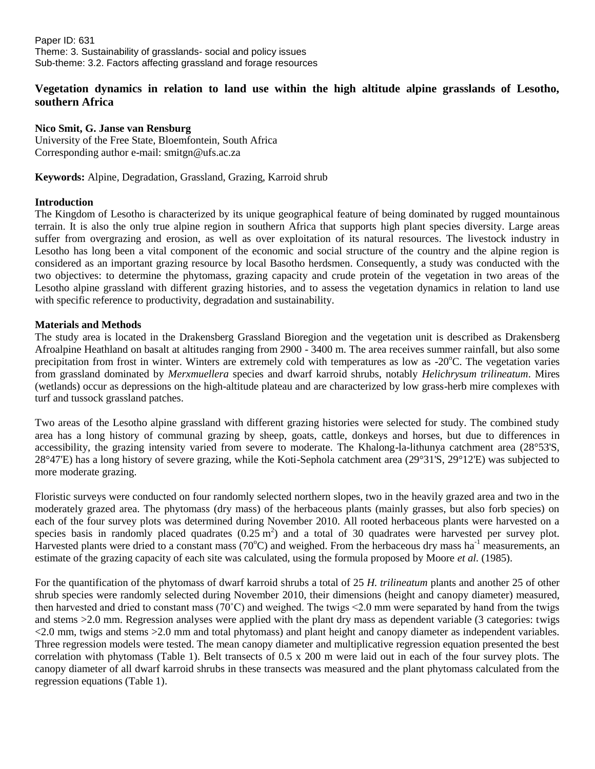## **Vegetation dynamics in relation to land use within the high altitude alpine grasslands of Lesotho, southern Africa**

## **Nico Smit, G. Janse van Rensburg**

University of the Free State, Bloemfontein, South Africa Corresponding author e-mail: [smitgn@ufs.ac.za](mailto:smitgn@ufs.ac.za)

**Keywords:** Alpine, Degradation, Grassland, Grazing, Karroid shrub

#### **Introduction**

The Kingdom of Lesotho is characterized by its unique geographical feature of being dominated by rugged mountainous terrain. It is also the only true alpine region in southern Africa that supports high plant species diversity. Large areas suffer from overgrazing and erosion, as well as over exploitation of its natural resources. The livestock industry in Lesotho has long been a vital component of the economic and social structure of the country and the alpine region is considered as an important grazing resource by local Basotho herdsmen. Consequently, a study was conducted with the two objectives: to determine the phytomass, grazing capacity and crude protein of the vegetation in two areas of the Lesotho alpine grassland with different grazing histories, and to assess the vegetation dynamics in relation to land use with specific reference to productivity, degradation and sustainability.

#### **Materials and Methods**

The study area is located in the Drakensberg Grassland Bioregion and the vegetation unit is described as Drakensberg Afroalpine Heathland on basalt at altitudes ranging from 2900 - 3400 m. The area receives summer rainfall, but also some precipitation from frost in winter. Winters are extremely cold with temperatures as low as  $-20^{\circ}$ C. The vegetation varies from grassland dominated by *Merxmuellera* species and dwarf karroid shrubs, notably *Helichrysum trilineatum*. Mires (wetlands) occur as depressions on the high-altitude plateau and are characterized by low grass-herb mire complexes with turf and tussock grassland patches.

Two areas of the Lesotho alpine grassland with different grazing histories were selected for study. The combined study area has a long history of communal grazing by sheep, goats, cattle, donkeys and horses, but due to differences in accessibility, the grazing intensity varied from severe to moderate. The Khalong-la-lithunya catchment area (28°53'S, 28°47'E) has a long history of severe grazing, while the Koti-Sephola catchment area (29°31'S, 29°12'E) was subjected to more moderate grazing.

Floristic surveys were conducted on four randomly selected northern slopes, two in the heavily grazed area and two in the moderately grazed area. The phytomass (dry mass) of the herbaceous plants (mainly grasses, but also forb species) on each of the four survey plots was determined during November 2010. All rooted herbaceous plants were harvested on a species basis in randomly placed quadrates  $(0.25 \text{ m}^2)$  and a total of 30 quadrates were harvested per survey plot. Harvested plants were dried to a constant mass ( $70^{\circ}$ C) and weighed. From the herbaceous dry mass ha<sup>-1</sup> measurements, an estimate of the grazing capacity of each site was calculated, using the formula proposed by Moore *et al.* (1985).

For the quantification of the phytomass of dwarf karroid shrubs a total of 25 *H. trilineatum* plants and another 25 of other shrub species were randomly selected during November 2010, their dimensions (height and canopy diameter) measured, then harvested and dried to constant mass (70°C) and weighed. The twigs  $\leq$  2.0 mm were separated by hand from the twigs and stems >2.0 mm. Regression analyses were applied with the plant dry mass as dependent variable (3 categories: twigs <2.0 mm, twigs and stems >2.0 mm and total phytomass) and plant height and canopy diameter as independent variables. Three regression models were tested. The mean canopy diameter and multiplicative regression equation presented the best correlation with phytomass (Table 1). Belt transects of 0.5 x 200 m were laid out in each of the four survey plots. The canopy diameter of all dwarf karroid shrubs in these transects was measured and the plant phytomass calculated from the regression equations (Table 1).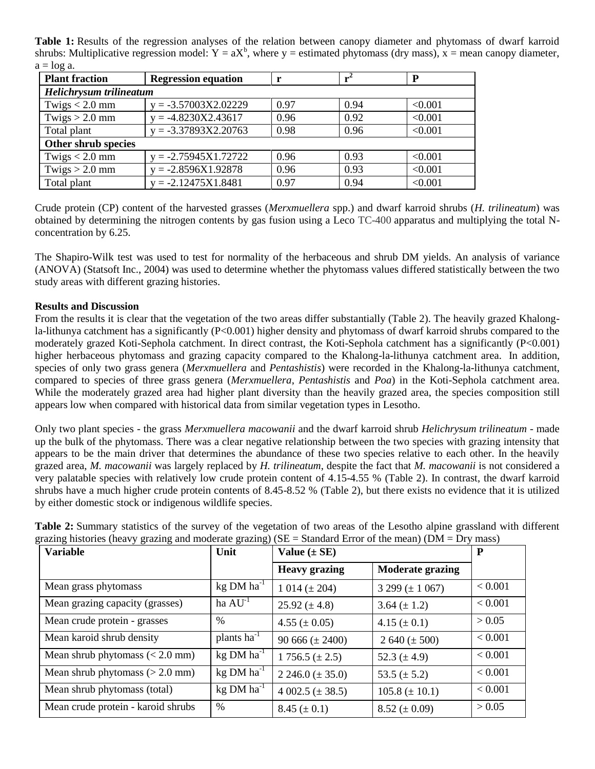**Table 1:** Results of the regression analyses of the relation between canopy diameter and phytomass of dwarf karroid shrubs: Multiplicative regression model:  $Y = aX^b$ , where  $y =$  estimated phytomass (dry mass),  $x =$  mean canopy diameter,  $a = \log a$ .

| <b>Plant fraction</b>   | <b>Regression equation</b> |      |      | P       |  |  |  |
|-------------------------|----------------------------|------|------|---------|--|--|--|
| Helichrysum trilineatum |                            |      |      |         |  |  |  |
| Twigs $< 2.0$ mm        | $y = -3.57003X2.02229$     | 0.97 | 0.94 | < 0.001 |  |  |  |
| Twigs $> 2.0$ mm        | $y = -4.8230X2.43617$      | 0.96 | 0.92 | < 0.001 |  |  |  |
| Total plant             | $y = -3.37893X2.20763$     | 0.98 | 0.96 | < 0.001 |  |  |  |
| Other shrub species     |                            |      |      |         |  |  |  |
| Twigs $< 2.0$ mm        | $y = -2.75945X1.72722$     | 0.96 | 0.93 | < 0.001 |  |  |  |
| Twigs $> 2.0$ mm        | $y = -2.8596X1.92878$      | 0.96 | 0.93 | < 0.001 |  |  |  |
| Total plant             | $y = -2.12475X1.8481$      | 0.97 | 0.94 | < 0.001 |  |  |  |

Crude protein (CP) content of the harvested grasses (*Merxmuellera* spp.) and dwarf karroid shrubs (*H. trilineatum*) was obtained by determining the nitrogen contents by gas fusion using a Leco TC-400 apparatus and multiplying the total Nconcentration by 6.25.

The Shapiro-Wilk test was used to test for normality of the herbaceous and shrub DM yields. An analysis of variance (ANOVA) (Statsoft Inc., 2004) was used to determine whether the phytomass values differed statistically between the two study areas with different grazing histories.

### **Results and Discussion**

From the results it is clear that the vegetation of the two areas differ substantially (Table 2). The heavily grazed Khalongla-lithunya catchment has a significantly (P<0.001) higher density and phytomass of dwarf karroid shrubs compared to the moderately grazed Koti-Sephola catchment. In direct contrast, the Koti-Sephola catchment has a significantly (P<0.001) higher herbaceous phytomass and grazing capacity compared to the Khalong-la-lithunya catchment area. In addition, species of only two grass genera (*Merxmuellera* and *Pentashistis*) were recorded in the Khalong-la-lithunya catchment, compared to species of three grass genera (*Merxmuellera*, *Pentashistis* and *Poa*) in the Koti-Sephola catchment area. While the moderately grazed area had higher plant diversity than the heavily grazed area, the species composition still appears low when compared with historical data from similar vegetation types in Lesotho.

Only two plant species - the grass *Merxmuellera macowanii* and the dwarf karroid shrub *Helichrysum trilineatum* - made up the bulk of the phytomass. There was a clear negative relationship between the two species with grazing intensity that appears to be the main driver that determines the abundance of these two species relative to each other. In the heavily grazed area, *M. macowanii* was largely replaced by *H. trilineatum*, despite the fact that *M. macowanii* is not considered a very palatable species with relatively low crude protein content of 4.15-4.55 % (Table 2). In contrast, the dwarf karroid shrubs have a much higher crude protein contents of 8.45-8.52 % (Table 2), but there exists no evidence that it is utilized by either domestic stock or indigenous wildlife species.

| $\overline{\phantom{a}}$<br><b>Variable</b> | $\circ$<br>Unit   | $\mathcal{O}$<br>Value $(\pm SE)$ |                              | P       |
|---------------------------------------------|-------------------|-----------------------------------|------------------------------|---------|
|                                             |                   | <b>Heavy grazing</b>              | <b>Moderate grazing</b>      |         |
| Mean grass phytomass                        | $kg$ DM $ha^{-1}$ | $1014 (\pm 204)$                  | $3299 \left(\pm 1067\right)$ | < 0.001 |
| Mean grazing capacity (grasses)             | ha $AU^{-1}$      | $25.92 \ (\pm 4.8)$               | 3.64 $(\pm 1.2)$             | < 0.001 |
| Mean crude protein - grasses                | $\%$              | $4.55 (\pm 0.05)$                 | $4.15 \ (\pm 0.1)$           | > 0.05  |
| Mean karoid shrub density                   | plants $ha^{-1}$  | $90666 (\pm 2400)$                | 2 640 ( $\pm$ 500)           | < 0.001 |
| Mean shrub phytomass $(< 2.0$ mm)           | $kg$ DM $ha^{-1}$ | $1756.5 (\pm 2.5)$                | 52.3 $(\pm 4.9)$             | < 0.001 |
| Mean shrub phytomass $(> 2.0$ mm)           | $kg$ DM $ha^{-1}$ | 2 246.0 $(\pm 35.0)$              | 53.5 $(\pm 5.2)$             | < 0.001 |
| Mean shrub phytomass (total)                | $kg$ DM $ha^{-1}$ | $4002.5 (\pm 38.5)$               | $105.8 (\pm 10.1)$           | < 0.001 |
| Mean crude protein - karoid shrubs          | %                 | $8.45 (\pm 0.1)$                  | $8.52 \ (\pm 0.09)$          | > 0.05  |

**Table 2:** Summary statistics of the survey of the vegetation of two areas of the Lesotho alpine grassland with different grazing histories (heavy grazing and moderate grazing) ( $SE = Standard Error$  of the mean) ( $DM = Dry$  mass)